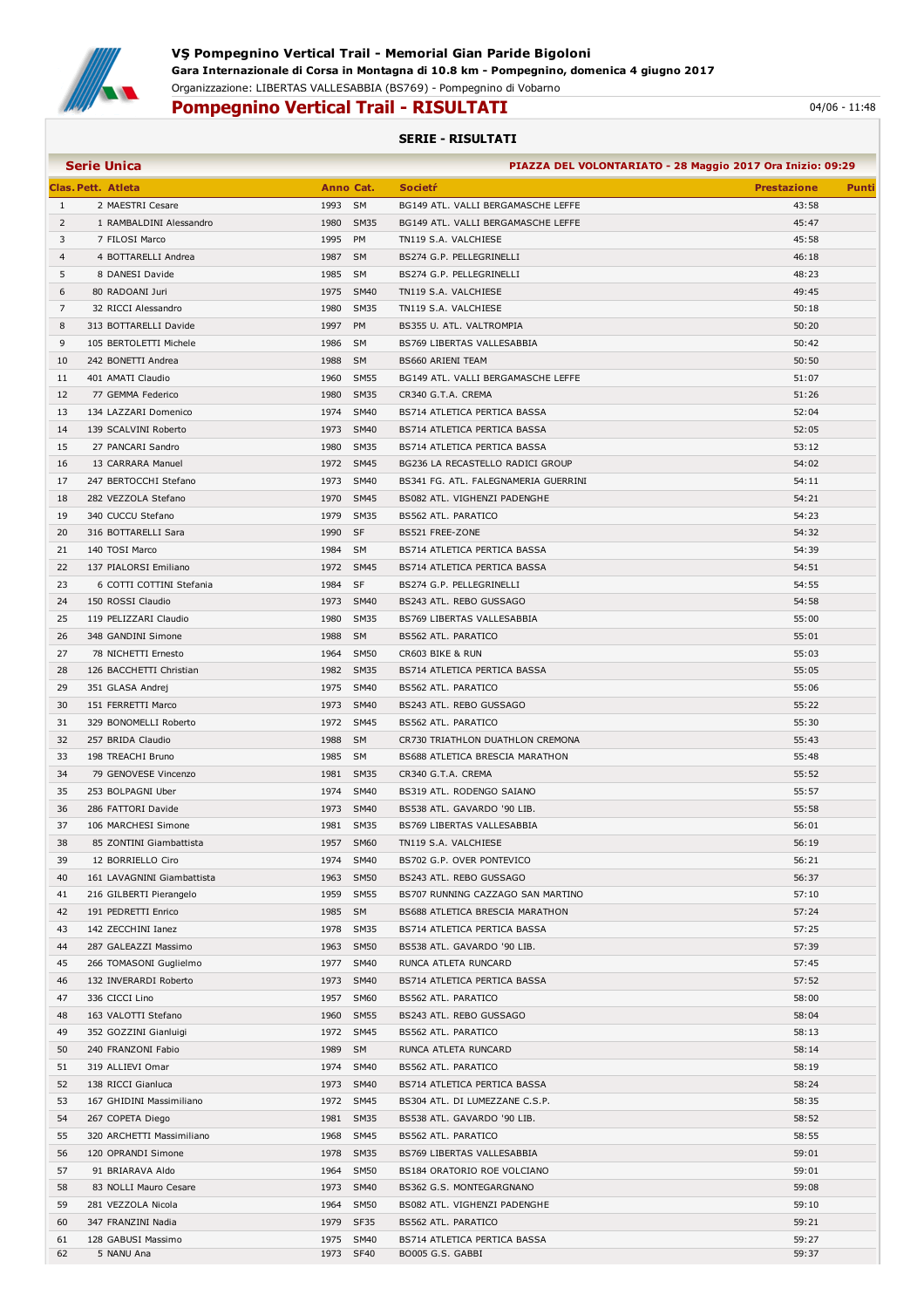

## Pompegnino Vertical Trail - RISULTATI 04/06 - 11:48

## SERIE - RISULTATI

| <b>Serie Unica</b><br>PIAZZA DEL VOLONTARIATO - 28 Maggio 2017 Ora Inizio: 09:29 |                            |         |             |                                      |                    |       |  |
|----------------------------------------------------------------------------------|----------------------------|---------|-------------|--------------------------------------|--------------------|-------|--|
|                                                                                  | Clas. Pett. Atleta         |         | Anno Cat.   | <b>Societr</b>                       | <b>Prestazione</b> | Punti |  |
| $\mathbf{1}$                                                                     | 2 MAESTRI Cesare           | 1993 SM |             | BG149 ATL. VALLI BERGAMASCHE LEFFE   | 43:58              |       |  |
| $\overline{2}$                                                                   | 1 RAMBALDINI Alessandro    | 1980    | SM35        | BG149 ATL. VALLI BERGAMASCHE LEFFE   | 45:47              |       |  |
| 3                                                                                | 7 FILOSI Marco             | 1995    | PM          | TN119 S.A. VALCHIESE                 | 45:58              |       |  |
| $\overline{4}$                                                                   | 4 BOTTARELLI Andrea        | 1987 SM |             | BS274 G.P. PELLEGRINELLI             | 46:18              |       |  |
| 5                                                                                | 8 DANESI Davide            | 1985 SM |             | BS274 G.P. PELLEGRINELLI             | 48:23              |       |  |
| 6                                                                                | 80 RADOANI Juri            |         | 1975 SM40   | TN119 S.A. VALCHIESE                 | 49:45              |       |  |
| 7                                                                                | 32 RICCI Alessandro        |         | 1980 SM35   | TN119 S.A. VALCHIESE                 | 50:18              |       |  |
| 8                                                                                | 313 BOTTARELLI Davide      | 1997    | <b>PM</b>   | BS355 U. ATL. VALTROMPIA             | 50:20              |       |  |
| 9                                                                                | 105 BERTOLETTI Michele     | 1986    | SM          | BS769 LIBERTAS VALLESABBIA           | 50:42              |       |  |
| 10                                                                               | 242 BONETTI Andrea         | 1988    | <b>SM</b>   | <b>BS660 ARIENI TEAM</b>             | 50:50              |       |  |
| 11                                                                               | 401 AMATI Claudio          |         | 1960 SM55   | BG149 ATL. VALLI BERGAMASCHE LEFFE   | 51:07              |       |  |
| 12                                                                               | 77 GEMMA Federico          |         | 1980 SM35   | CR340 G.T.A. CREMA                   | 51:26              |       |  |
| 13                                                                               | 134 LAZZARI Domenico       |         | 1974 SM40   | BS714 ATLETICA PERTICA BASSA         | 52:04              |       |  |
| 14                                                                               | 139 SCALVINI Roberto       |         | 1973 SM40   | BS714 ATLETICA PERTICA BASSA         | 52:05              |       |  |
| 15                                                                               | 27 PANCARI Sandro          |         | 1980 SM35   | BS714 ATLETICA PERTICA BASSA         | 53:12              |       |  |
| 16                                                                               | 13 CARRARA Manuel          |         | 1972 SM45   | BG236 LA RECASTELLO RADICI GROUP     | 54:02              |       |  |
| 17                                                                               | 247 BERTOCCHI Stefano      |         | 1973 SM40   | BS341 FG. ATL. FALEGNAMERIA GUERRINI | 54:11              |       |  |
| 18                                                                               | 282 VEZZOLA Stefano        |         | 1970 SM45   | BS082 ATL. VIGHENZI PADENGHE         | 54:21              |       |  |
| 19                                                                               | 340 CUCCU Stefano          |         | 1979 SM35   | BS562 ATL. PARATICO                  | 54:23              |       |  |
|                                                                                  | 316 BOTTARELLI Sara        | 1990 SF |             |                                      |                    |       |  |
| 20                                                                               |                            | 1984 SM |             | BS521 FREE-ZONE                      | 54:32<br>54:39     |       |  |
| 21                                                                               | 140 TOSI Marco             |         |             | BS714 ATLETICA PERTICA BASSA         |                    |       |  |
| 22                                                                               | 137 PIALORSI Emiliano      |         | 1972 SM45   | BS714 ATLETICA PERTICA BASSA         | 54:51              |       |  |
| 23                                                                               | 6 COTTI COTTINI Stefania   | 1984    | SF          | BS274 G.P. PELLEGRINELLI             | 54:55              |       |  |
| 24                                                                               | 150 ROSSI Claudio          |         | 1973 SM40   | BS243 ATL. REBO GUSSAGO              | 54:58              |       |  |
| 25                                                                               | 119 PELIZZARI Claudio      |         | 1980 SM35   | BS769 LIBERTAS VALLESABBIA           | 55:00              |       |  |
| 26                                                                               | 348 GANDINI Simone         | 1988 SM |             | BS562 ATL. PARATICO                  | 55:01              |       |  |
| 27                                                                               | 78 NICHETTI Ernesto        |         | 1964 SM50   | CR603 BIKE & RUN                     | 55:03              |       |  |
| 28                                                                               | 126 BACCHETTI Christian    |         | 1982 SM35   | BS714 ATLETICA PERTICA BASSA         | 55:05              |       |  |
| 29                                                                               | 351 GLASA Andrej           |         | 1975 SM40   | BS562 ATL. PARATICO                  | 55:06              |       |  |
| 30                                                                               | 151 FERRETTI Marco         | 1973    | <b>SM40</b> | BS243 ATL. REBO GUSSAGO              | 55:22              |       |  |
| 31                                                                               | 329 BONOMELLI Roberto      |         | 1972 SM45   | BS562 ATL. PARATICO                  | 55:30              |       |  |
| 32                                                                               | 257 BRIDA Claudio          | 1988 SM |             | CR730 TRIATHLON DUATHLON CREMONA     | 55:43              |       |  |
| 33                                                                               | 198 TREACHI Bruno          | 1985 SM |             | BS688 ATLETICA BRESCIA MARATHON      | 55:48              |       |  |
| 34                                                                               | 79 GENOVESE Vincenzo       |         | 1981 SM35   | CR340 G.T.A. CREMA                   | 55:52              |       |  |
| 35                                                                               | 253 BOLPAGNI Uber          |         | 1974 SM40   | BS319 ATL. RODENGO SAIANO            | 55:57              |       |  |
| 36                                                                               | 286 FATTORI Davide         |         | 1973 SM40   | BS538 ATL. GAVARDO '90 LIB.          | 55:58              |       |  |
| 37                                                                               | 106 MARCHESI Simone        |         | 1981 SM35   | BS769 LIBERTAS VALLESABBIA           | 56:01              |       |  |
| 38                                                                               | 85 ZONTINI Giambattista    |         | 1957 SM60   | TN119 S.A. VALCHIESE                 | 56:19              |       |  |
| 39                                                                               | 12 BORRIELLO Ciro          | 1974    | <b>SM40</b> | BS702 G.P. OVER PONTEVICO            | 56:21              |       |  |
| 40                                                                               | 161 LAVAGNINI Giambattista |         | 1963 SM50   | BS243 ATL. REBO GUSSAGO              | 56:37              |       |  |
| 41                                                                               | 216 GILBERTI Pierangelo    | 1959    | <b>SM55</b> | BS707 RUNNING CAZZAGO SAN MARTINO    | 57:10              |       |  |
| 42                                                                               | 191 PEDRETTI Enrico        | 1985    | <b>SM</b>   | BS688 ATLETICA BRESCIA MARATHON      | 57:24              |       |  |
| 43                                                                               | 142 ZECCHINI Ianez         | 1978    | <b>SM35</b> | BS714 ATLETICA PERTICA BASSA         | 57:25              |       |  |
| 44                                                                               | 287 GALEAZZI Massimo       |         | 1963 SM50   | BS538 ATL. GAVARDO '90 LIB.          | 57:39              |       |  |
| 45                                                                               | 266 TOMASONI Guglielmo     |         | 1977 SM40   | RUNCA ATLETA RUNCARD                 | 57:45              |       |  |
| 46                                                                               | 132 INVERARDI Roberto      |         | 1973 SM40   | BS714 ATLETICA PERTICA BASSA         | 57:52              |       |  |
| 47                                                                               | 336 CICCI Lino             | 1957    | <b>SM60</b> | BS562 ATL. PARATICO                  | 58:00              |       |  |
| 48                                                                               | 163 VALOTTI Stefano        | 1960    | <b>SM55</b> | BS243 ATL. REBO GUSSAGO              | 58:04              |       |  |
| 49                                                                               | 352 GOZZINI Gianluigi      | 1972    | <b>SM45</b> | BS562 ATL. PARATICO                  | 58:13              |       |  |
| 50                                                                               | 240 FRANZONI Fabio         | 1989    | SM          | RUNCA ATLETA RUNCARD                 | 58:14              |       |  |
| 51                                                                               | 319 ALLIEVI Omar           |         | 1974 SM40   | BS562 ATL. PARATICO                  | 58:19              |       |  |
| 52                                                                               | 138 RICCI Gianluca         |         | 1973 SM40   | BS714 ATLETICA PERTICA BASSA         | 58:24              |       |  |
| 53                                                                               | 167 GHIDINI Massimiliano   |         | 1972 SM45   | BS304 ATL. DI LUMEZZANE C.S.P.       | 58:35              |       |  |
| 54                                                                               | 267 COPETA Diego           |         | 1981 SM35   | BS538 ATL. GAVARDO '90 LIB.          | 58:52              |       |  |
| 55                                                                               | 320 ARCHETTI Massimiliano  | 1968    | <b>SM45</b> | BS562 ATL. PARATICO                  | 58:55              |       |  |
| 56                                                                               | 120 OPRANDI Simone         | 1978    | <b>SM35</b> | BS769 LIBERTAS VALLESABBIA           | 59:01              |       |  |
| 57                                                                               | 91 BRIARAVA Aldo           | 1964    | <b>SM50</b> | BS184 ORATORIO ROE VOLCIANO          | 59:01              |       |  |
| 58                                                                               | 83 NOLLI Mauro Cesare      |         | 1973 SM40   | BS362 G.S. MONTEGARGNANO             | 59:08              |       |  |
| 59                                                                               | 281 VEZZOLA Nicola         |         | 1964 SM50   | BS082 ATL. VIGHENZI PADENGHE         | 59:10              |       |  |
| 60                                                                               | 347 FRANZINI Nadia         |         | 1979 SF35   | BS562 ATL. PARATICO                  | 59:21              |       |  |
| 61                                                                               | 128 GABUSI Massimo         |         | 1975 SM40   | BS714 ATLETICA PERTICA BASSA         | 59:27              |       |  |
| 62                                                                               | 5 NANU Ana                 |         | 1973 SF40   | BO005 G.S. GABBI                     | 59:37              |       |  |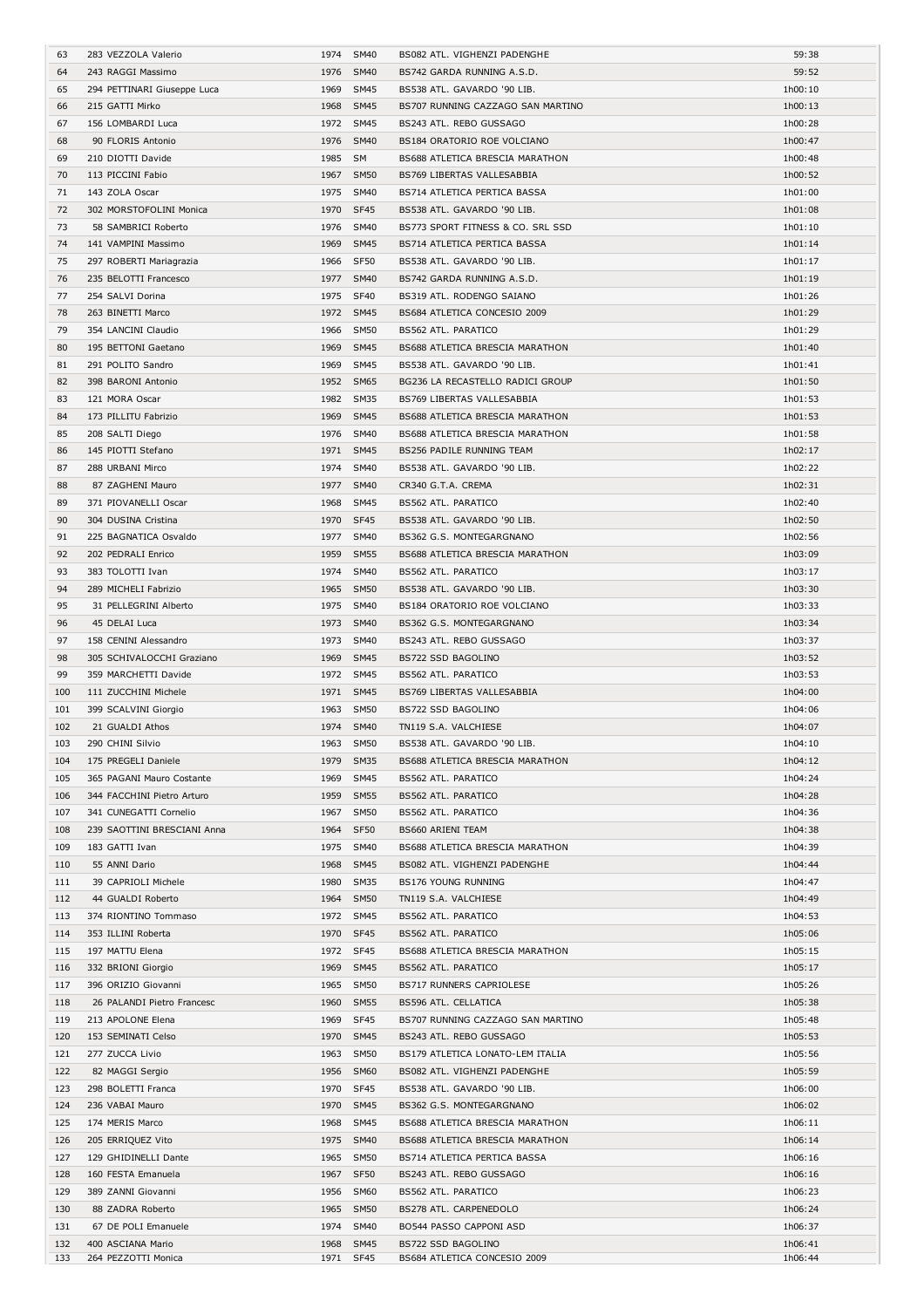| 63  | 283 VEZZOLA Valerio         |         | 1974 SM40   | BS082 ATL. VIGHENZI PADENGHE      | 59:38   |
|-----|-----------------------------|---------|-------------|-----------------------------------|---------|
| 64  | 243 RAGGI Massimo           |         | 1976 SM40   | BS742 GARDA RUNNING A.S.D.        | 59:52   |
| 65  | 294 PETTINARI Giuseppe Luca | 1969    | <b>SM45</b> | BS538 ATL. GAVARDO '90 LIB.       | 1h00:10 |
|     |                             |         |             | BS707 RUNNING CAZZAGO SAN MARTINO |         |
| 66  | 215 GATTI Mirko             |         | 1968 SM45   |                                   | 1h00:13 |
| 67  | 156 LOMBARDI Luca           |         | 1972 SM45   | BS243 ATL. REBO GUSSAGO           | 1h00:28 |
| 68  | 90 FLORIS Antonio           |         | 1976 SM40   | BS184 ORATORIO ROE VOLCIANO       | 1h00:47 |
| 69  | 210 DIOTTI Davide           | 1985 SM |             | BS688 ATLETICA BRESCIA MARATHON   | 1h00:48 |
| 70  | 113 PICCINI Fabio           | 1967    | <b>SM50</b> | BS769 LIBERTAS VALLESABBIA        | 1h00:52 |
|     |                             |         |             |                                   |         |
| 71  | 143 ZOLA Oscar              |         | 1975 SM40   | BS714 ATLETICA PERTICA BASSA      | 1h01:00 |
| 72  | 302 MORSTOFOLINI Monica     |         | 1970 SF45   | BS538 ATL. GAVARDO '90 LIB.       | 1h01:08 |
| 73  | 58 SAMBRICI Roberto         |         | 1976 SM40   | BS773 SPORT FITNESS & CO. SRL SSD | 1h01:10 |
| 74  | 141 VAMPINI Massimo         |         | 1969 SM45   | BS714 ATLETICA PERTICA BASSA      | 1h01:14 |
|     |                             |         |             |                                   |         |
| 75  | 297 ROBERTI Mariagrazia     |         | 1966 SF50   | BS538 ATL. GAVARDO '90 LIB.       | 1h01:17 |
| 76  | 235 BELOTTI Francesco       |         | 1977 SM40   | BS742 GARDA RUNNING A.S.D.        | 1h01:19 |
| 77  | 254 SALVI Dorina            |         | 1975 SF40   | BS319 ATL. RODENGO SAIANO         | 1h01:26 |
| 78  | 263 BINETTI Marco           |         | 1972 SM45   | BS684 ATLETICA CONCESIO 2009      | 1h01:29 |
|     |                             |         |             |                                   |         |
| 79  | 354 LANCINI Claudio         |         | 1966 SM50   | BS562 ATL. PARATICO               | 1h01:29 |
| 80  | 195 BETTONI Gaetano         | 1969    | <b>SM45</b> | BS688 ATLETICA BRESCIA MARATHON   | 1h01:40 |
| 81  | 291 POLITO Sandro           |         | 1969 SM45   | BS538 ATL. GAVARDO '90 LIB.       | 1h01:41 |
| 82  | 398 BARONI Antonio          |         | 1952 SM65   | BG236 LA RECASTELLO RADICI GROUP  | 1h01:50 |
|     |                             |         |             |                                   |         |
| 83  | 121 MORA Oscar              | 1982    | <b>SM35</b> | BS769 LIBERTAS VALLESABBIA        | 1h01:53 |
| 84  | 173 PILLITU Fabrizio        |         | 1969 SM45   | BS688 ATLETICA BRESCIA MARATHON   | 1h01:53 |
| 85  | 208 SALTI Diego             |         | 1976 SM40   | BS688 ATLETICA BRESCIA MARATHON   | 1h01:58 |
| 86  | 145 PIOTTI Stefano          |         | 1971 SM45   | BS256 PADILE RUNNING TEAM         | 1h02:17 |
|     |                             |         |             |                                   |         |
| 87  | 288 URBANI Mirco            |         | 1974 SM40   | BS538 ATL. GAVARDO '90 LIB.       | 1h02:22 |
| 88  | 87 ZAGHENI Mauro            |         | 1977 SM40   | CR340 G.T.A. CREMA                | 1h02:31 |
| 89  | 371 PIOVANELLI Oscar        | 1968    | <b>SM45</b> | BS562 ATL. PARATICO               | 1h02:40 |
| 90  | 304 DUSINA Cristina         |         | 1970 SF45   | BS538 ATL. GAVARDO '90 LIB.       | 1h02:50 |
|     |                             |         |             |                                   |         |
| 91  | 225 BAGNATICA Osvaldo       |         | 1977 SM40   | BS362 G.S. MONTEGARGNANO          | 1h02:56 |
| 92  | 202 PEDRALI Enrico          | 1959    | <b>SM55</b> | BS688 ATLETICA BRESCIA MARATHON   | 1h03:09 |
| 93  | 383 TOLOTTI Ivan            | 1974    | <b>SM40</b> | BS562 ATL. PARATICO               | 1h03:17 |
| 94  | 289 MICHELI Fabrizio        |         | 1965 SM50   | BS538 ATL. GAVARDO '90 LIB.       | 1h03:30 |
|     |                             |         |             |                                   |         |
| 95  | 31 PELLEGRINI Alberto       |         | 1975 SM40   | BS184 ORATORIO ROE VOLCIANO       | 1h03:33 |
| 96  | 45 DELAI Luca               | 1973    | SM40        | BS362 G.S. MONTEGARGNANO          | 1h03:34 |
| 97  | 158 CENINI Alessandro       | 1973    | <b>SM40</b> | BS243 ATL. REBO GUSSAGO           | 1h03:37 |
| 98  | 305 SCHIVALOCCHI Graziano   |         | 1969 SM45   | BS722 SSD BAGOLINO                | 1h03:52 |
|     |                             |         |             |                                   |         |
| 99  | 359 MARCHETTI Davide        |         | 1972 SM45   | BS562 ATL. PARATICO               | 1h03:53 |
| 100 | 111 ZUCCHINI Michele        |         | 1971 SM45   | BS769 LIBERTAS VALLESABBIA        | 1h04:00 |
| 101 | 399 SCALVINI Giorgio        |         | 1963 SM50   | BS722 SSD BAGOLINO                | 1h04:06 |
| 102 | 21 GUALDI Athos             |         | 1974 SM40   | TN119 S.A. VALCHIESE              | 1h04:07 |
|     |                             |         |             |                                   |         |
| 103 | 290 CHINI Silvio            | 1963    | SM50        | BS538 ATL. GAVARDO '90 LIB.       | 1h04:10 |
| 104 | 175 PREGELI Daniele         |         | 1979 SM35   | BS688 ATLETICA BRESCIA MARATHON   | 1h04:12 |
| 105 | 365 PAGANI Mauro Costante   |         | 1969 SM45   | BS562 ATL. PARATICO               | 1h04:24 |
| 106 | 344 FACCHINI Pietro Arturo  |         | 1959 SM55   | BS562 ATL. PARATICO               | 1h04:28 |
|     |                             |         |             |                                   |         |
| 107 | 341 CUNEGATTI Cornelio      |         | 1967 SM50   | BS562 ATL. PARATICO               | 1h04:36 |
| 108 | 239 SAOTTINI BRESCIANI Anna |         | 1964 SF50   | BS660 ARIENI TEAM                 | 1h04:38 |
| 109 | 183 GATTI Ivan              |         | 1975 SM40   | BS688 ATLETICA BRESCIA MARATHON   | 1h04:39 |
| 110 | 55 ANNI Dario               | 1968    | <b>SM45</b> | BS082 ATL. VIGHENZI PADENGHE      | 1h04:44 |
|     |                             |         |             |                                   |         |
| 111 | 39 CAPRIOLI Michele         |         | 1980 SM35   | BS176 YOUNG RUNNING               | 1h04:47 |
| 112 | 44 GUALDI Roberto           |         | 1964 SM50   | TN119 S.A. VALCHIESE              | 1h04:49 |
| 113 | 374 RIONTINO Tommaso        |         | 1972 SM45   | BS562 ATL. PARATICO               | 1h04:53 |
| 114 | 353 ILLINI Roberta          |         | 1970 SF45   | BS562 ATL. PARATICO               | 1h05:06 |
| 115 | 197 MATTU Elena             |         | 1972 SF45   | BS688 ATLETICA BRESCIA MARATHON   | 1h05:15 |
|     |                             |         |             |                                   |         |
| 116 | 332 BRIONI Giorgio          | 1969    | <b>SM45</b> | BS562 ATL. PARATICO               | 1h05:17 |
| 117 |                             |         |             |                                   |         |
| 118 | 396 ORIZIO Giovanni         |         | 1965 SM50   | BS717 RUNNERS CAPRIOLESE          | 1h05:26 |
|     | 26 PALANDI Pietro Francesc  |         | 1960 SM55   | BS596 ATL. CELLATICA              | 1h05:38 |
|     |                             |         |             |                                   |         |
| 119 | 213 APOLONE Elena           |         | 1969 SF45   | BS707 RUNNING CAZZAGO SAN MARTINO | 1h05:48 |
| 120 | 153 SEMINATI Celso          |         | 1970 SM45   | BS243 ATL. REBO GUSSAGO           | 1h05:53 |
| 121 | 277 ZUCCA Livio             |         | 1963 SM50   | BS179 ATLETICA LONATO-LEM ITALIA  | 1h05:56 |
| 122 | 82 MAGGI Sergio             | 1956    | <b>SM60</b> | BS082 ATL. VIGHENZI PADENGHE      | 1h05:59 |
|     |                             |         |             |                                   |         |
| 123 | 298 BOLETTI Franca          | 1970    | SF45        | BS538 ATL. GAVARDO '90 LIB.       | 1h06:00 |
| 124 | 236 VABAI Mauro             |         | 1970 SM45   | BS362 G.S. MONTEGARGNANO          | 1h06:02 |
| 125 | 174 MERIS Marco             |         | 1968 SM45   | BS688 ATLETICA BRESCIA MARATHON   | 1h06:11 |
| 126 | 205 ERRIQUEZ Vito           |         | 1975 SM40   | BS688 ATLETICA BRESCIA MARATHON   | 1h06:14 |
| 127 | 129 GHIDINELLI Dante        |         | 1965 SM50   | BS714 ATLETICA PERTICA BASSA      | 1h06:16 |
|     |                             |         |             |                                   |         |
| 128 | 160 FESTA Emanuela          | 1967    | SF50        | BS243 ATL. REBO GUSSAGO           | 1h06:16 |
| 129 | 389 ZANNI Giovanni          | 1956    | <b>SM60</b> | BS562 ATL. PARATICO               | 1h06:23 |
| 130 | 88 ZADRA Roberto            |         | 1965 SM50   | BS278 ATL. CARPENEDOLO            | 1h06:24 |
| 131 | 67 DE POLI Emanuele         |         | 1974 SM40   | BO544 PASSO CAPPONI ASD           | 1h06:37 |
| 132 | 400 ASCIANA Mario           |         | 1968 SM45   | BS722 SSD BAGOLINO                | 1h06:41 |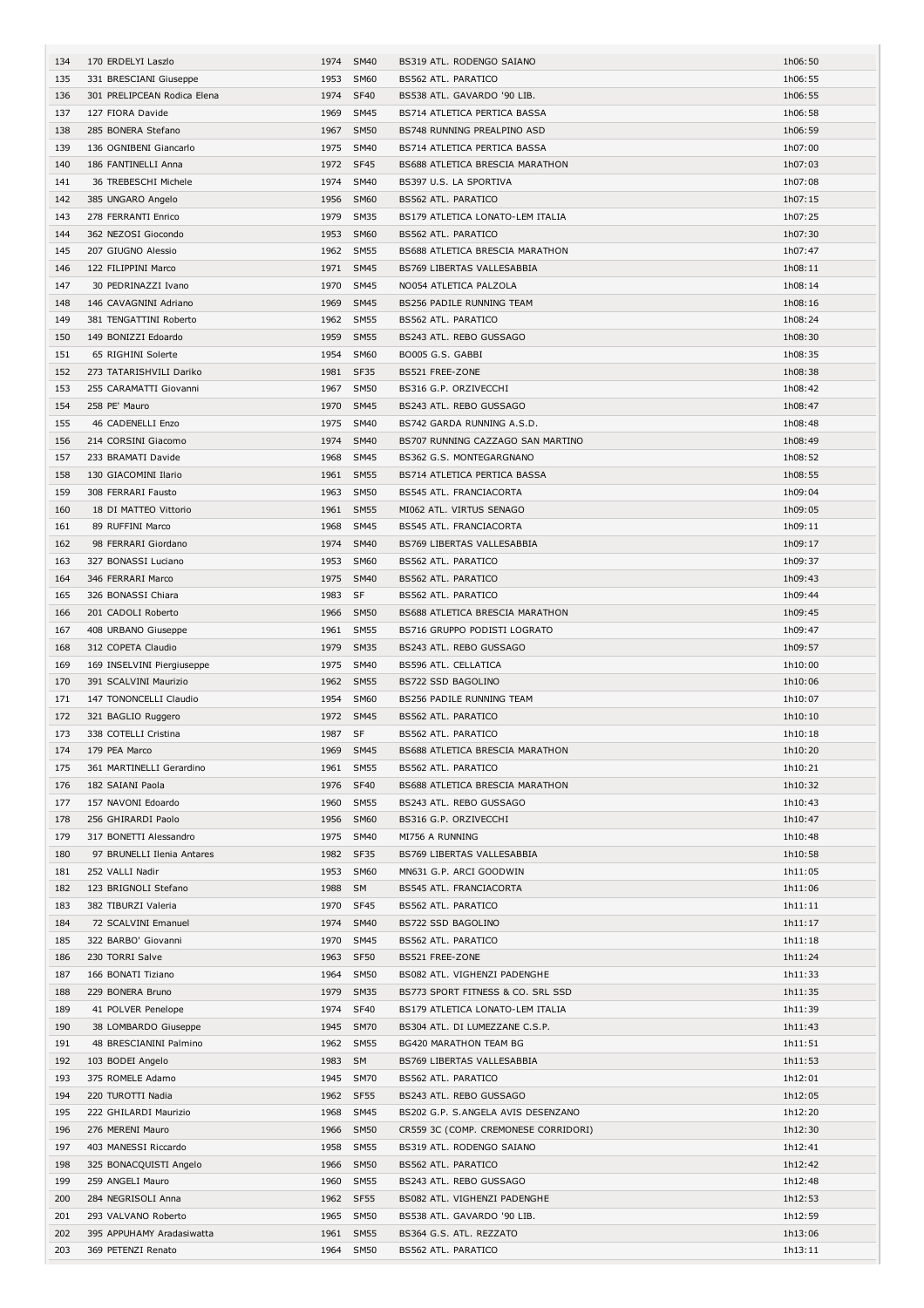| 134 | 170 ERDELYI Laszlo          |         | 1974 SM40   | BS319 ATL. RODENGO SAIANO            | 1h06:50 |
|-----|-----------------------------|---------|-------------|--------------------------------------|---------|
| 135 | 331 BRESCIANI Giuseppe      |         | 1953 SM60   | <b>BS562 ATL. PARATICO</b>           | 1h06:55 |
| 136 | 301 PRELIPCEAN Rodica Elena | 1974    | <b>SF40</b> | BS538 ATL. GAVARDO '90 LIB.          | 1h06:55 |
| 137 | 127 FIORA Davide            |         | 1969 SM45   | BS714 ATLETICA PERTICA BASSA         | 1h06:58 |
| 138 | 285 BONERA Stefano          |         | 1967 SM50   | BS748 RUNNING PREALPINO ASD          | 1h06:59 |
| 139 | 136 OGNIBENI Giancarlo      |         | 1975 SM40   | BS714 ATLETICA PERTICA BASSA         | 1h07:00 |
| 140 | 186 FANTINELLI Anna         |         | 1972 SF45   | BS688 ATLETICA BRESCIA MARATHON      | 1h07:03 |
|     |                             |         |             |                                      |         |
| 141 | 36 TREBESCHI Michele        | 1974    | <b>SM40</b> | BS397 U.S. LA SPORTIVA               | 1h07:08 |
| 142 | 385 UNGARO Angelo           | 1956    | <b>SM60</b> | BS562 ATL. PARATICO                  | 1h07:15 |
| 143 | 278 FERRANTI Enrico         |         | 1979 SM35   | BS179 ATLETICA LONATO-LEM ITALIA     | 1h07:25 |
| 144 | 362 NEZOSI Giocondo         |         | 1953 SM60   | BS562 ATL. PARATICO                  | 1h07:30 |
| 145 | 207 GIUGNO Alessio          |         | 1962 SM55   | BS688 ATLETICA BRESCIA MARATHON      | 1h07:47 |
| 146 | 122 FILIPPINI Marco         |         | 1971 SM45   | BS769 LIBERTAS VALLESABBIA           | 1h08:11 |
| 147 | 30 PEDRINAZZI Ivano         | 1970    | SM45        | NO054 ATLETICA PALZOLA               | 1h08:14 |
| 148 | 146 CAVAGNINI Adriano       | 1969    | <b>SM45</b> | BS256 PADILE RUNNING TEAM            | 1h08:16 |
| 149 | 381 TENGATTINI Roberto      |         | 1962 SM55   | BS562 ATL. PARATICO                  | 1h08:24 |
| 150 | 149 BONIZZI Edoardo         |         | 1959 SM55   | BS243 ATL. REBO GUSSAGO              | 1h08:30 |
| 151 | 65 RIGHINI Solerte          |         | 1954 SM60   | BO005 G.S. GABBI                     | 1h08:35 |
|     |                             |         |             |                                      |         |
| 152 | 273 TATARISHVILI Dariko     |         | 1981 SF35   | BS521 FREE-ZONE                      | 1h08:38 |
| 153 | 255 CARAMATTI Giovanni      |         | 1967 SM50   | BS316 G.P. ORZIVECCHI                | 1h08:42 |
| 154 | 258 PE' Mauro               |         | 1970 SM45   | BS243 ATL. REBO GUSSAGO              | 1h08:47 |
| 155 | 46 CADENELLI Enzo           | 1975    | <b>SM40</b> | BS742 GARDA RUNNING A.S.D.           | 1h08:48 |
| 156 | 214 CORSINI Giacomo         |         | 1974 SM40   | BS707 RUNNING CAZZAGO SAN MARTINO    | 1h08:49 |
| 157 | 233 BRAMATI Davide          |         | 1968 SM45   | BS362 G.S. MONTEGARGNANO             | 1h08:52 |
| 158 | 130 GIACOMINI Ilario        |         | 1961 SM55   | BS714 ATLETICA PERTICA BASSA         | 1h08:55 |
| 159 | 308 FERRARI Fausto          |         | 1963 SM50   | BS545 ATL. FRANCIACORTA              | 1h09:04 |
| 160 | 18 DI MATTEO Vittorio       |         | 1961 SM55   | MI062 ATL. VIRTUS SENAGO             | 1h09:05 |
| 161 | 89 RUFFINI Marco            | 1968    | <b>SM45</b> | BS545 ATL. FRANCIACORTA              | 1h09:11 |
|     |                             |         | <b>SM40</b> |                                      |         |
| 162 | 98 FERRARI Giordano         | 1974    |             | BS769 LIBERTAS VALLESABBIA           | 1h09:17 |
| 163 | 327 BONASSI Luciano         |         | 1953 SM60   | <b>BS562 ATL. PARATICO</b>           | 1h09:37 |
| 164 | 346 FERRARI Marco           |         | 1975 SM40   | BS562 ATL. PARATICO                  | 1h09:43 |
| 165 | 326 BONASSI Chiara          | 1983 SF |             | BS562 ATL. PARATICO                  | 1h09:44 |
| 166 | 201 CADOLI Roberto          |         | 1966 SM50   | BS688 ATLETICA BRESCIA MARATHON      | 1h09:45 |
| 167 | 408 URBANO Giuseppe         |         | 1961 SM55   | BS716 GRUPPO PODISTI LOGRATO         | 1h09:47 |
| 168 | 312 COPETA Claudio          |         | 1979 SM35   | BS243 ATL. REBO GUSSAGO              | 1h09:57 |
| 169 | 169 INSELVINI Piergiuseppe  |         | 1975 SM40   | <b>BS596 ATL. CELLATICA</b>          | 1h10:00 |
| 170 | 391 SCALVINI Maurizio       |         | 1962 SM55   | BS722 SSD BAGOLINO                   | 1h10:06 |
| 171 | 147 TONONCELLI Claudio      |         | 1954 SM60   | BS256 PADILE RUNNING TEAM            | 1h10:07 |
| 172 | 321 BAGLIO Ruggero          |         | 1972 SM45   | <b>BS562 ATL. PARATICO</b>           | 1h10:10 |
| 173 | 338 COTELLI Cristina        | 1987 SF |             | <b>BS562 ATL, PARATICO</b>           | 1h10:18 |
| 174 | 179 PEA Marco               |         | 1969 SM45   | BS688 ATLETICA BRESCIA MARATHON      | 1h10:20 |
|     |                             |         |             |                                      |         |
| 175 | 361 MARTINELLI Gerardino    |         | 1961 SM55   | BS562 ATL. PARATICO                  | 1h10:21 |
| 176 | 182 SAIANI Paola            |         | 1976 SF40   | BS688 ATLETICA BRESCIA MARATHON      | 1h10:32 |
| 177 | 157 NAVONI Edoardo          |         | 1960 SM55   | BS243 ATL. REBO GUSSAGO              | 1h10:43 |
| 178 | 256 GHIRARDI Paolo          |         | 1956 SM60   | BS316 G.P. ORZIVECCHI                | 1h10:47 |
| 179 | 317 BONETTI Alessandro      |         | 1975 SM40   | MI756 A RUNNING                      | 1h10:48 |
| 180 | 97 BRUNELLI Ilenia Antares  |         | 1982 SF35   | BS769 LIBERTAS VALLESABBIA           |         |
| 181 |                             |         |             |                                      | 1h10:58 |
| 182 | 252 VALLI Nadir             |         | 1953 SM60   | MN631 G.P. ARCI GOODWIN              | 1h11:05 |
| 183 | 123 BRIGNOLI Stefano        | 1988 SM |             | <b>BS545 ATL. FRANCIACORTA</b>       | 1h11:06 |
|     | 382 TIBURZI Valeria         |         | 1970 SF45   | BS562 ATL. PARATICO                  | 1h11:11 |
| 184 | 72 SCALVINI Emanuel         |         | 1974 SM40   | BS722 SSD BAGOLINO                   | 1h11:17 |
|     |                             |         |             |                                      |         |
| 185 | 322 BARBO' Giovanni         |         | 1970 SM45   | BS562 ATL. PARATICO                  | 1h11:18 |
| 186 | 230 TORRI Salve             |         | 1963 SF50   | BS521 FREE-ZONE                      | 1h11:24 |
| 187 | 166 BONATI Tiziano          |         | 1964 SM50   | BS082 ATL. VIGHENZI PADENGHE         | 1h11:33 |
| 188 | 229 BONERA Bruno            |         | 1979 SM35   | BS773 SPORT FITNESS & CO. SRL SSD    | 1h11:35 |
| 189 | 41 POLVER Penelope          |         | 1974 SF40   | BS179 ATLETICA LONATO-LEM ITALIA     | 1h11:39 |
| 190 | 38 LOMBARDO Giuseppe        |         | 1945 SM70   | BS304 ATL. DI LUMEZZANE C.S.P.       | 1h11:43 |
| 191 | 48 BRESCIANINI Palmino      |         | 1962 SM55   | BG420 MARATHON TEAM BG               | 1h11:51 |
| 192 | 103 BODEI Angelo            | 1983 SM |             | BS769 LIBERTAS VALLESABBIA           | 1h11:53 |
| 193 | 375 ROMELE Adamo            |         | 1945 SM70   | BS562 ATL. PARATICO                  | 1h12:01 |
| 194 | 220 TUROTTI Nadia           |         | 1962 SF55   | BS243 ATL. REBO GUSSAGO              | 1h12:05 |
| 195 | 222 GHILARDI Maurizio       |         | 1968 SM45   | BS202 G.P. S.ANGELA AVIS DESENZANO   | 1h12:20 |
|     |                             |         |             |                                      |         |
| 196 | 276 MERENI Mauro            |         | 1966 SM50   | CR559 3C (COMP. CREMONESE CORRIDORI) | 1h12:30 |
| 197 | 403 MANESSI Riccardo        |         | 1958 SM55   | BS319 ATL. RODENGO SAIANO            | 1h12:41 |
| 198 | 325 BONACQUISTI Angelo      |         | 1966 SM50   | BS562 ATL. PARATICO                  | 1h12:42 |
| 199 | 259 ANGELI Mauro            |         | 1960 SM55   | BS243 ATL. REBO GUSSAGO              | 1h12:48 |
| 200 | 284 NEGRISOLI Anna          |         | 1962 SF55   | BS082 ATL. VIGHENZI PADENGHE         | 1h12:53 |
| 201 | 293 VALVANO Roberto         |         | 1965 SM50   | BS538 ATL. GAVARDO '90 LIB.          | 1h12:59 |
| 202 | 395 APPUHAMY Aradasiwatta   |         | 1961 SM55   | BS364 G.S. ATL. REZZATO              | 1h13:06 |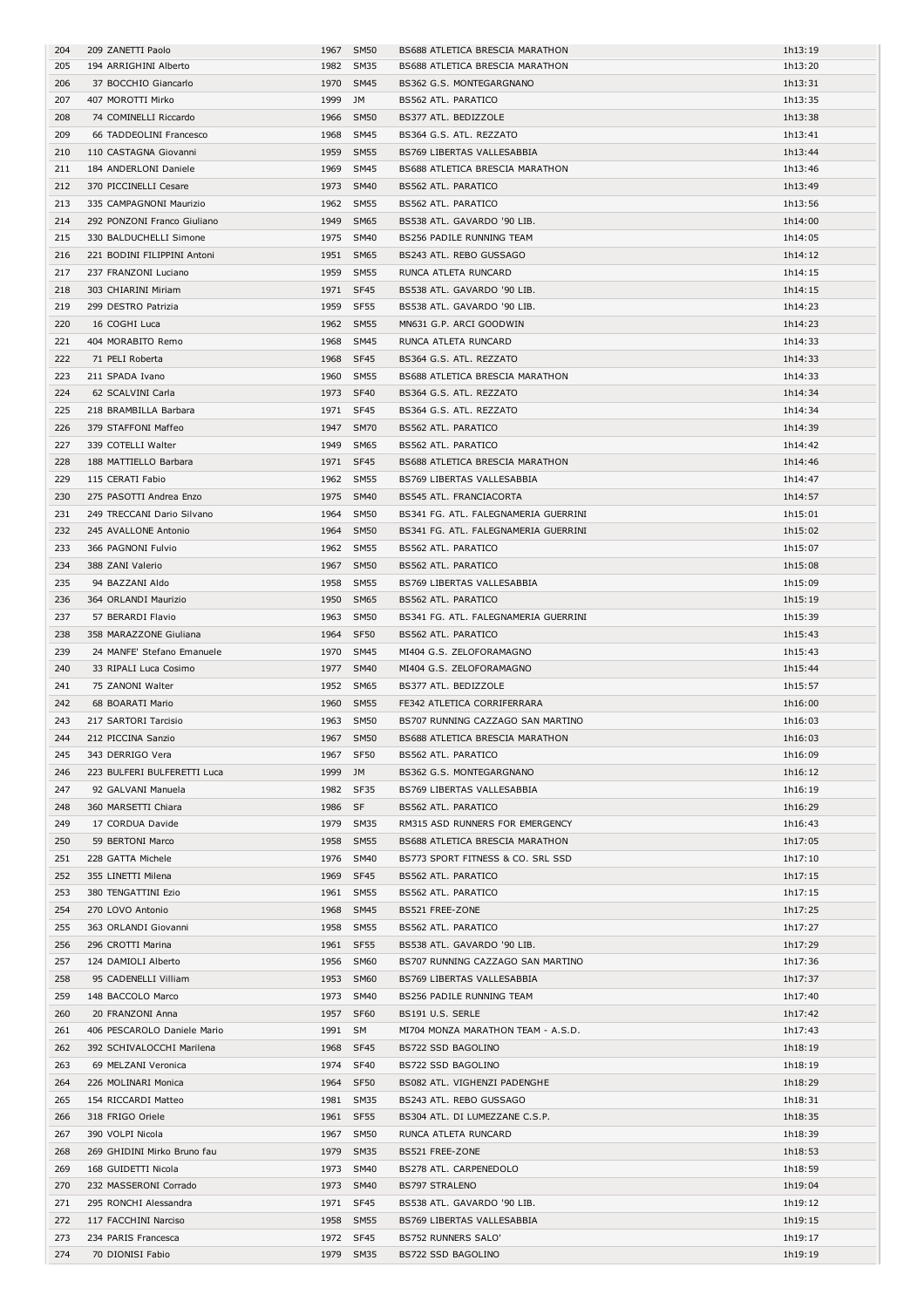| 204 | 209 ZANETTI Paolo           |           | 1967 SM50 | BS688 ATLETICA BRESCIA MARATHON      | 1h13:19 |
|-----|-----------------------------|-----------|-----------|--------------------------------------|---------|
| 205 | 194 ARRIGHINI Alberto       |           | 1982 SM35 | BS688 ATLETICA BRESCIA MARATHON      | 1h13:20 |
| 206 | 37 BOCCHIO Giancarlo        |           | 1970 SM45 | BS362 G.S. MONTEGARGNANO             | 1h13:31 |
| 207 | 407 MOROTTI Mirko           | 1999 JM   |           | BS562 ATL. PARATICO                  | 1h13:35 |
|     |                             |           |           |                                      |         |
| 208 | 74 COMINELLI Riccardo       |           | 1966 SM50 | BS377 ATL. BEDIZZOLE                 | 1h13:38 |
| 209 | 66 TADDEOLINI Francesco     |           | 1968 SM45 | BS364 G.S. ATL. REZZATO              | 1h13:41 |
| 210 | 110 CASTAGNA Giovanni       |           | 1959 SM55 | <b>BS769 LIBERTAS VALLESABBIA</b>    | 1h13:44 |
| 211 | 184 ANDERLONI Daniele       |           | 1969 SM45 | BS688 ATLETICA BRESCIA MARATHON      | 1h13:46 |
| 212 | 370 PICCINELLI Cesare       |           | 1973 SM40 | BS562 ATL. PARATICO                  | 1h13:49 |
| 213 | 335 CAMPAGNONI Maurizio     |           | 1962 SM55 | BS562 ATL. PARATICO                  | 1h13:56 |
|     |                             |           |           |                                      |         |
| 214 | 292 PONZONI Franco Giuliano |           | 1949 SM65 | BS538 ATL. GAVARDO '90 LIB.          | 1h14:00 |
| 215 | 330 BALDUCHELLI Simone      |           | 1975 SM40 | BS256 PADILE RUNNING TEAM            | 1h14:05 |
| 216 | 221 BODINI FILIPPINI Antoni |           | 1951 SM65 | BS243 ATL. REBO GUSSAGO              | 1h14:12 |
| 217 | 237 FRANZONI Luciano        |           | 1959 SM55 | RUNCA ATLETA RUNCARD                 | 1h14:15 |
|     |                             |           |           |                                      |         |
| 218 | 303 CHIARINI Miriam         |           | 1971 SF45 | BS538 ATL. GAVARDO '90 LIB.          | 1h14:15 |
| 219 | 299 DESTRO Patrizia         |           | 1959 SF55 | BS538 ATL. GAVARDO '90 LIB.          | 1h14:23 |
| 220 | 16 COGHI Luca               |           | 1962 SM55 | MN631 G.P. ARCI GOODWIN              | 1h14:23 |
| 221 | 404 MORABITO Remo           |           | 1968 SM45 | RUNCA ATLETA RUNCARD                 | 1h14:33 |
| 222 | 71 PELI Roberta             |           | 1968 SF45 | BS364 G.S. ATL. REZZATO              | 1h14:33 |
|     |                             |           |           |                                      |         |
| 223 | 211 SPADA Ivano             |           | 1960 SM55 | BS688 ATLETICA BRESCIA MARATHON      | 1h14:33 |
| 224 | 62 SCALVINI Carla           |           | 1973 SF40 | BS364 G.S. ATL. REZZATO              | 1h14:34 |
| 225 | 218 BRAMBILLA Barbara       |           | 1971 SF45 | BS364 G.S. ATL. REZZATO              | 1h14:34 |
| 226 | 379 STAFFONI Maffeo         |           | 1947 SM70 | BS562 ATL. PARATICO                  | 1h14:39 |
| 227 | 339 COTELLI Walter          |           | 1949 SM65 | BS562 ATL. PARATICO                  | 1h14:42 |
|     |                             |           |           |                                      |         |
| 228 | 188 MATTIELLO Barbara       | 1971 SF45 |           | BS688 ATLETICA BRESCIA MARATHON      | 1h14:46 |
| 229 | 115 CERATI Fabio            |           | 1962 SM55 | BS769 LIBERTAS VALLESABBIA           | 1h14:47 |
| 230 | 275 PASOTTI Andrea Enzo     |           | 1975 SM40 | <b>BS545 ATL. FRANCIACORTA</b>       | 1h14:57 |
| 231 | 249 TRECCANI Dario Silvano  |           | 1964 SM50 | BS341 FG. ATL. FALEGNAMERIA GUERRINI | 1h15:01 |
|     |                             |           |           |                                      |         |
| 232 | 245 AVALLONE Antonio        |           | 1964 SM50 | BS341 FG. ATL. FALEGNAMERIA GUERRINI | 1h15:02 |
| 233 | 366 PAGNONI Fulvio          |           | 1962 SM55 | BS562 ATL. PARATICO                  | 1h15:07 |
| 234 | 388 ZANI Valerio            |           | 1967 SM50 | BS562 ATL. PARATICO                  | 1h15:08 |
| 235 | 94 BAZZANI Aldo             |           | 1958 SM55 | BS769 LIBERTAS VALLESABBIA           | 1h15:09 |
| 236 | 364 ORLANDI Maurizio        |           | 1950 SM65 | BS562 ATL. PARATICO                  | 1h15:19 |
|     |                             |           |           |                                      |         |
| 237 | 57 BERARDI Flavio           |           | 1963 SM50 | BS341 FG. ATL. FALEGNAMERIA GUERRINI | 1h15:39 |
| 238 | 358 MARAZZONE Giuliana      | 1964 SF50 |           | BS562 ATL. PARATICO                  | 1h15:43 |
|     |                             |           | 1970 SM45 |                                      | 1h15:43 |
| 239 | 24 MANFE' Stefano Emanuele  |           |           | MI404 G.S. ZELOFORAMAGNO             |         |
| 240 | 33 RIPALI Luca Cosimo       |           | 1977 SM40 | MI404 G.S. ZELOFORAMAGNO             | 1h15:44 |
|     |                             |           |           |                                      |         |
| 241 | 75 ZANONI Walter            |           | 1952 SM65 | BS377 ATL. BEDIZZOLE                 | 1h15:57 |
| 242 | 68 BOARATI Mario            |           | 1960 SM55 | FE342 ATLETICA CORRIFERRARA          | 1h16:00 |
| 243 | 217 SARTORI Tarcisio        |           | 1963 SM50 | BS707 RUNNING CAZZAGO SAN MARTINO    | 1h16:03 |
| 244 | 212 PICCINA Sanzio          |           | 1967 SM50 | BS688 ATLETICA BRESCIA MARATHON      | 1h16:03 |
|     | 343 DERRIGO Vera            |           |           | BS562 ATL. PARATICO                  |         |
| 245 |                             |           | 1967 SF50 |                                      | 1h16:09 |
| 246 | 223 BULFERI BULFERETTI Luca | 1999 JM   |           | BS362 G.S. MONTEGARGNANO             | 1h16:12 |
| 247 | 92 GALVANI Manuela          | 1982 SF35 |           | BS769 LIBERTAS VALLESABBIA           | 1h16:19 |
| 248 | 360 MARSETTI Chiara         | 1986 SF   |           | BS562 ATL. PARATICO                  | 1h16:29 |
| 249 | 17 CORDUA Davide            |           | 1979 SM35 | RM315 ASD RUNNERS FOR EMERGENCY      | 1h16:43 |
|     |                             |           |           |                                      |         |
| 250 | 59 BERTONI Marco            |           | 1958 SM55 | BS688 ATLETICA BRESCIA MARATHON      | 1h17:05 |
| 251 | 228 GATTA Michele           |           | 1976 SM40 | BS773 SPORT FITNESS & CO. SRL SSD    | 1h17:10 |
| 252 | 355 LINETTI Milena          |           | 1969 SF45 | BS562 ATL. PARATICO                  | 1h17:15 |
| 253 | 380 TENGATTINI Ezio         |           | 1961 SM55 | BS562 ATL. PARATICO                  | 1h17:15 |
| 254 | 270 LOVO Antonio            |           | 1968 SM45 | BS521 FREE-ZONE                      | 1h17:25 |
|     | 363 ORLANDI Giovanni        |           | 1958 SM55 |                                      |         |
| 255 |                             |           |           | BS562 ATL. PARATICO                  | 1h17:27 |
| 256 | 296 CROTTI Marina           |           | 1961 SF55 | BS538 ATL. GAVARDO '90 LIB.          | 1h17:29 |
| 257 | 124 DAMIOLI Alberto         |           | 1956 SM60 | BS707 RUNNING CAZZAGO SAN MARTINO    | 1h17:36 |
| 258 | 95 CADENELLI Villiam        |           | 1953 SM60 | BS769 LIBERTAS VALLESABBIA           | 1h17:37 |
| 259 | 148 BACCOLO Marco           |           | 1973 SM40 | BS256 PADILE RUNNING TEAM            | 1h17:40 |
|     |                             |           |           |                                      |         |
| 260 | 20 FRANZONI Anna            | 1957 SF60 |           | BS191 U.S. SERLE                     | 1h17:42 |
| 261 | 406 PESCAROLO Daniele Mario | 1991 SM   |           | MI704 MONZA MARATHON TEAM - A.S.D.   | 1h17:43 |
| 262 | 392 SCHIVALOCCHI Marilena   |           | 1968 SF45 | BS722 SSD BAGOLINO                   | 1h18:19 |
| 263 | 69 MELZANI Veronica         |           | 1974 SF40 | BS722 SSD BAGOLINO                   | 1h18:19 |
| 264 | 226 MOLINARI Monica         |           | 1964 SF50 | BS082 ATL. VIGHENZI PADENGHE         | 1h18:29 |
|     |                             |           |           |                                      |         |
| 265 | 154 RICCARDI Matteo         |           | 1981 SM35 | BS243 ATL. REBO GUSSAGO              | 1h18:31 |
| 266 | 318 FRIGO Oriele            |           | 1961 SF55 | BS304 ATL. DI LUMEZZANE C.S.P.       | 1h18:35 |
| 267 | 390 VOLPI Nicola            |           | 1967 SM50 | RUNCA ATLETA RUNCARD                 | 1h18:39 |
| 268 | 269 GHIDINI Mirko Bruno fau |           | 1979 SM35 | BS521 FREE-ZONE                      | 1h18:53 |
| 269 | 168 GUIDETTI Nicola         |           | 1973 SM40 | BS278 ATL. CARPENEDOLO               | 1h18:59 |
|     |                             |           |           |                                      |         |
| 270 | 232 MASSERONI Corrado       |           | 1973 SM40 | BS797 STRALENO                       | 1h19:04 |
| 271 | 295 RONCHI Alessandra       |           | 1971 SF45 | BS538 ATL. GAVARDO '90 LIB.          | 1h19:12 |
| 272 | 117 FACCHINI Narciso        |           | 1958 SM55 | BS769 LIBERTAS VALLESABBIA           | 1h19:15 |
| 273 | 234 PARIS Francesca         |           | 1972 SF45 | BS752 RUNNERS SALO'                  | 1h19:17 |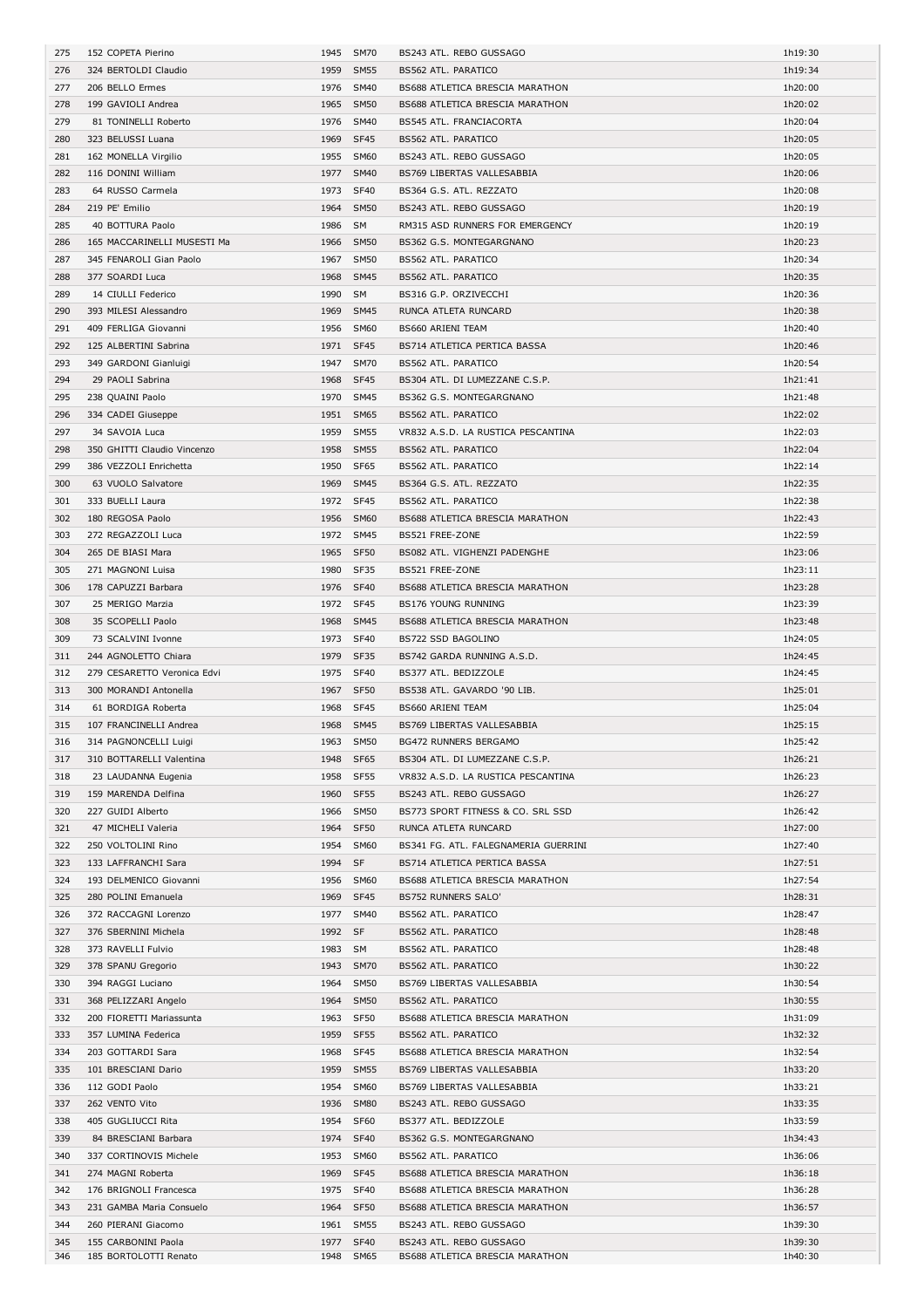| 275 | 152 COPETA Pierino          |           | 1945 SM70   | BS243 ATL. REBO GUSSAGO              | 1h19:30 |
|-----|-----------------------------|-----------|-------------|--------------------------------------|---------|
| 276 | 324 BERTOLDI Claudio        |           | 1959 SM55   | BS562 ATL. PARATICO                  | 1h19:34 |
| 277 | 206 BELLO Ermes             |           | 1976 SM40   | BS688 ATLETICA BRESCIA MARATHON      | 1h20:00 |
| 278 | 199 GAVIOLI Andrea          |           | 1965 SM50   | BS688 ATLETICA BRESCIA MARATHON      | 1h20:02 |
|     |                             |           |             |                                      |         |
| 279 | 81 TONINELLI Roberto        |           | 1976 SM40   | BS545 ATL. FRANCIACORTA              | 1h20:04 |
| 280 | 323 BELUSSI Luana           | 1969 SF45 |             | BS562 ATL. PARATICO                  | 1h20:05 |
| 281 | 162 MONELLA Virgilio        |           | 1955 SM60   | BS243 ATL. REBO GUSSAGO              | 1h20:05 |
| 282 | 116 DONINI William          |           | 1977 SM40   | BS769 LIBERTAS VALLESABBIA           | 1h20:06 |
| 283 | 64 RUSSO Carmela            | 1973 SF40 |             | BS364 G.S. ATL. REZZATO              | 1h20:08 |
|     |                             |           |             |                                      |         |
| 284 | 219 PE' Emilio              |           | 1964 SM50   | BS243 ATL. REBO GUSSAGO              | 1h20:19 |
| 285 | 40 BOTTURA Paolo            | 1986 SM   |             | RM315 ASD RUNNERS FOR EMERGENCY      | 1h20:19 |
| 286 | 165 MACCARINELLI MUSESTI Ma |           | 1966 SM50   | BS362 G.S. MONTEGARGNANO             | 1h20:23 |
| 287 | 345 FENAROLI Gian Paolo     | 1967      | <b>SM50</b> | BS562 ATL. PARATICO                  | 1h20:34 |
| 288 | 377 SOARDI Luca             |           | 1968 SM45   | BS562 ATL. PARATICO                  | 1h20:35 |
|     |                             |           |             |                                      |         |
| 289 | 14 CIULLI Federico          | 1990 SM   |             | BS316 G.P. ORZIVECCHI                | 1h20:36 |
| 290 | 393 MILESI Alessandro       |           | 1969 SM45   | RUNCA ATLETA RUNCARD                 | 1h20:38 |
| 291 | 409 FERLIGA Giovanni        |           | 1956 SM60   | BS660 ARIENI TEAM                    | 1h20:40 |
| 292 | 125 ALBERTINI Sabrina       | 1971 SF45 |             | BS714 ATLETICA PERTICA BASSA         | 1h20:46 |
|     | 349 GARDONI Gianluigi       |           |             |                                      |         |
| 293 |                             |           | 1947 SM70   | BS562 ATL. PARATICO                  | 1h20:54 |
| 294 | 29 PAOLI Sabrina            | 1968 SF45 |             | BS304 ATL. DI LUMEZZANE C.S.P.       | 1h21:41 |
| 295 | 238 QUAINI Paolo            |           | 1970 SM45   | BS362 G.S. MONTEGARGNANO             | 1h21:48 |
| 296 | 334 CADEI Giuseppe          |           | 1951 SM65   | BS562 ATL. PARATICO                  | 1h22:02 |
| 297 | 34 SAVOIA Luca              |           | 1959 SM55   | VR832 A.S.D. LA RUSTICA PESCANTINA   | 1h22:03 |
|     |                             |           |             |                                      |         |
| 298 | 350 GHITTI Claudio Vincenzo |           | 1958 SM55   | BS562 ATL. PARATICO                  | 1h22:04 |
| 299 | 386 VEZZOLI Enrichetta      | 1950 SF65 |             | BS562 ATL. PARATICO                  | 1h22:14 |
| 300 | 63 VUOLO Salvatore          | 1969      | <b>SM45</b> | BS364 G.S. ATL. REZZATO              | 1h22:35 |
| 301 | 333 BUELLI Laura            | 1972 SF45 |             | BS562 ATL. PARATICO                  | 1h22:38 |
| 302 | 180 REGOSA Paolo            |           | 1956 SM60   | BS688 ATLETICA BRESCIA MARATHON      | 1h22:43 |
|     |                             |           |             |                                      |         |
| 303 | 272 REGAZZOLI Luca          |           | 1972 SM45   | BS521 FREE-ZONE                      | 1h22:59 |
| 304 | 265 DE BIASI Mara           | 1965 SF50 |             | BS082 ATL. VIGHENZI PADENGHE         | 1h23:06 |
| 305 | 271 MAGNONI Luisa           | 1980 SF35 |             | BS521 FREE-ZONE                      | 1h23:11 |
| 306 | 178 CAPUZZI Barbara         | 1976 SF40 |             | BS688 ATLETICA BRESCIA MARATHON      | 1h23:28 |
| 307 | 25 MERIGO Marzia            | 1972 SF45 |             | BS176 YOUNG RUNNING                  | 1h23:39 |
|     |                             |           |             |                                      |         |
| 308 | 35 SCOPELLI Paolo           |           | 1968 SM45   | BS688 ATLETICA BRESCIA MARATHON      | 1h23:48 |
| 309 | 73 SCALVINI Ivonne          | 1973 SF40 |             | BS722 SSD BAGOLINO                   | 1h24:05 |
| 311 | 244 AGNOLETTO Chiara        | 1979 SF35 |             | BS742 GARDA RUNNING A.S.D.           | 1h24:45 |
| 312 | 279 CESARETTO Veronica Edvi | 1975 SF40 |             | BS377 ATL. BEDIZZOLE                 | 1h24:45 |
|     |                             |           |             |                                      |         |
| 313 | 300 MORANDI Antonella       | 1967 SF50 |             | BS538 ATL. GAVARDO '90 LIB.          | 1h25:01 |
| 314 | 61 BORDIGA Roberta          | 1968 SF45 |             | <b>BS660 ARIENI TEAM</b>             | 1h25:04 |
|     |                             |           |             | BS769 LIBERTAS VALLESABBIA           |         |
| 315 | 107 FRANCINELLI Andrea      | 1968 SM45 |             |                                      | 1h25:15 |
| 316 |                             |           | 1963 SM50   | <b>BG472 RUNNERS BERGAMO</b>         | 1h25:42 |
|     | 314 PAGNONCELLI Luigi       |           |             |                                      |         |
| 317 | 310 BOTTARELLI Valentina    | 1948 SF65 |             | BS304 ATL. DI LUMEZZANE C.S.P.       | 1h26:21 |
| 318 | 23 LAUDANNA Eugenia         | 1958 SF55 |             | VR832 A.S.D. LA RUSTICA PESCANTINA   | 1h26:23 |
| 319 | 159 MARENDA Delfina         | 1960 SF55 |             | BS243 ATL. REBO GUSSAGO              | 1h26:27 |
| 320 | 227 GUIDI Alberto           |           | 1966 SM50   | BS773 SPORT FITNESS & CO. SRL SSD    | 1h26:42 |
|     |                             |           |             |                                      |         |
| 321 | 47 MICHELI Valeria          | 1964      | SF50        | RUNCA ATLETA RUNCARD                 | 1h27:00 |
| 322 | 250 VOLTOLINI Rino          |           | 1954 SM60   | BS341 FG. ATL. FALEGNAMERIA GUERRINI | 1h27:40 |
| 323 | 133 LAFFRANCHI Sara         | 1994 SF   |             | BS714 ATLETICA PERTICA BASSA         | 1h27:51 |
| 324 | 193 DELMENICO Giovanni      |           | 1956 SM60   | BS688 ATLETICA BRESCIA MARATHON      | 1h27:54 |
| 325 | 280 POLINI Emanuela         | 1969 SF45 |             | BS752 RUNNERS SALO'                  | 1h28:31 |
| 326 | 372 RACCAGNI Lorenzo        |           | 1977 SM40   | BS562 ATL. PARATICO                  | 1h28:47 |
|     |                             |           |             |                                      |         |
| 327 | 376 SBERNINI Michela        | 1992 SF   |             | BS562 ATL. PARATICO                  | 1h28:48 |
| 328 | 373 RAVELLI Fulvio          | 1983 SM   |             | BS562 ATL. PARATICO                  | 1h28:48 |
| 329 | 378 SPANU Gregorio          |           | 1943 SM70   | BS562 ATL. PARATICO                  | 1h30:22 |
| 330 | 394 RAGGI Luciano           |           | 1964 SM50   | BS769 LIBERTAS VALLESABBIA           | 1h30:54 |
| 331 |                             |           | 1964 SM50   | BS562 ATL. PARATICO                  | 1h30:55 |
|     | 368 PELIZZARI Angelo        |           |             |                                      |         |
| 332 | 200 FIORETTI Mariassunta    |           | 1963 SF50   | BS688 ATLETICA BRESCIA MARATHON      | 1h31:09 |
| 333 | 357 LUMINA Federica         | 1959 SF55 |             | BS562 ATL. PARATICO                  | 1h32:32 |
| 334 | 203 GOTTARDI Sara           | 1968 SF45 |             | BS688 ATLETICA BRESCIA MARATHON      | 1h32:54 |
| 335 | 101 BRESCIANI Dario         |           | 1959 SM55   | BS769 LIBERTAS VALLESABBIA           | 1h33:20 |
|     |                             |           |             |                                      |         |
| 336 | 112 GODI Paolo              |           | 1954 SM60   | BS769 LIBERTAS VALLESABBIA           | 1h33:21 |
| 337 | 262 VENTO Vito              |           | 1936 SM80   | BS243 ATL. REBO GUSSAGO              | 1h33:35 |
| 338 | 405 GUGLIUCCI Rita          | 1954 SF60 |             | BS377 ATL. BEDIZZOLE                 | 1h33:59 |
| 339 | 84 BRESCIANI Barbara        | 1974 SF40 |             | BS362 G.S. MONTEGARGNANO             | 1h34:43 |
| 340 | 337 CORTINOVIS Michele      |           | 1953 SM60   | BS562 ATL. PARATICO                  | 1h36:06 |
|     |                             |           |             |                                      |         |
| 341 | 274 MAGNI Roberta           |           | 1969 SF45   | BS688 ATLETICA BRESCIA MARATHON      | 1h36:18 |
| 342 | 176 BRIGNOLI Francesca      |           | 1975 SF40   | BS688 ATLETICA BRESCIA MARATHON      | 1h36:28 |
| 343 | 231 GAMBA Maria Consuelo    | 1964 SF50 |             | BS688 ATLETICA BRESCIA MARATHON      | 1h36:57 |
| 344 | 260 PIERANI Giacomo         |           | 1961 SM55   | BS243 ATL. REBO GUSSAGO              | 1h39:30 |
| 345 | 155 CARBONINI Paola         | 1977 SF40 |             | BS243 ATL. REBO GUSSAGO              | 1h39:30 |